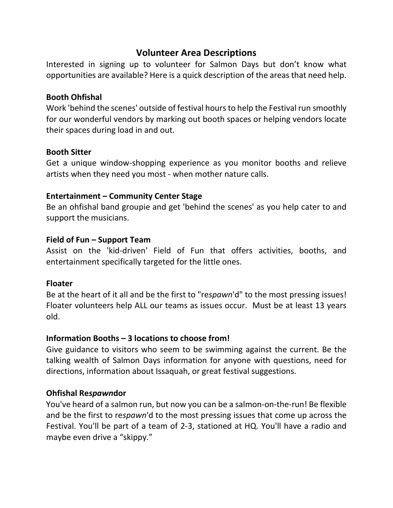# **Volunteer Area Descriptions**

Interested in signing up to volunteer for Salmon Days but don't know what opportunities are available? Here is a quick description of the areas that need help.

## **Booth Ohfishal**

Work 'behind the scenes' outside of festival hours to help the Festival run smoothly for our wonderful vendors by marking out booth spaces or helping vendors locate their spaces during load in and out.

## **Booth Sitter**

Get a unique window-shopping experience as you monitor booths and relieve artists when they need you most - when mother nature calls.

## **Entertainment – Community Center Stage**

Be an ohfishal band groupie and get 'behind the scenes' as you help cater to and support the musicians.

## **Field of Fun – Support Team**

Assist on the 'kid-driven' Field of Fun that offers activities, booths, and entertainment specifically targeted for the little ones.

#### **Floater**

Be at the heart of it all and be the first to "re*spawn*'d" to the most pressing issues! Floater volunteers help ALL our teams as issues occur. Must be at least 13 years old.

# **Information Booths – 3 locations to choose from!**

Give guidance to visitors who seem to be swimming against the current. Be the talking wealth of Salmon Days information for anyone with questions, need for directions, information about Issaquah, or great festival suggestions.

# **Ohfishal Re***spawn***dor**

You've heard of a salmon run, but now you can be a salmon-on-the-run! Be flexible and be the first to re*spawn*'d to the most pressing issues that come up across the Festival. You'll be part of a team of 2-3, stationed at HQ. You'll have a radio and maybe even drive a "skippy."